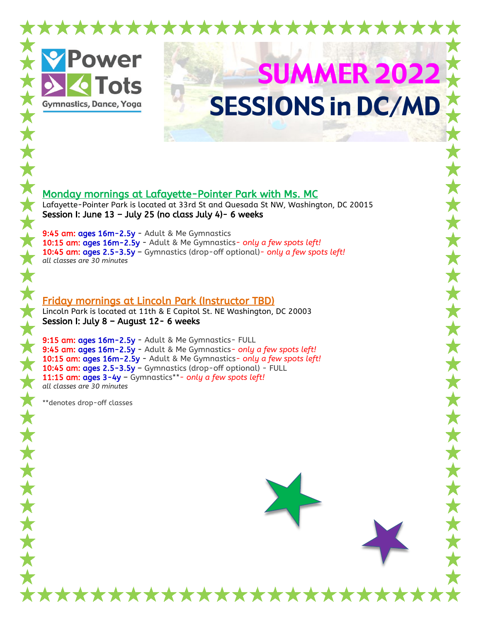

## Monday mornings at Lafayette-Pointer Park with Ms. MC

Lafayette-Pointer Park is located at 33rd St and Quesada St NW, Washington, DC 20015 Session I: June  $13 -$  July 25 (no class July 4)- 6 weeks

9:45 am: ages 16m-2.5y - Adult & Me Gymnastics 10:15 am: ages 16m-2.5y - Adult & Me Gymnastics*- only a few spots left!* 10:45 am: ages 2.5-3.5y – Gymnastics (drop-off optional)*- only a few spots left! all classes are 30 minutes*

## Friday mornings at Lincoln Park (Instructor TBD)

Lincoln Park is located at 11th & E Capitol St. NE Washington, DC 20003 Session I: July 8 – August 12- 6 weeks

9:15 am: ages 16m-2.5y - Adult & Me Gymnastics- FULL 9:45 am: ages 16m-2.5y - Adult & Me Gymnastics*- only a few spots left!* 10:15 am: ages 16m-2.5y - Adult & Me Gymnastics*- only a few spots left!* 10:45 am: ages 2.5-3.5y – Gymnastics (drop-off optional) - FULL 11:15 am: ages 3-4y – Gymnastics\*\**- only a few spots left! all classes are 30 minutes*

\*\*\*\*\*\*\*\*\*\*\*\*\*\*

\*\*denotes drop-off classes